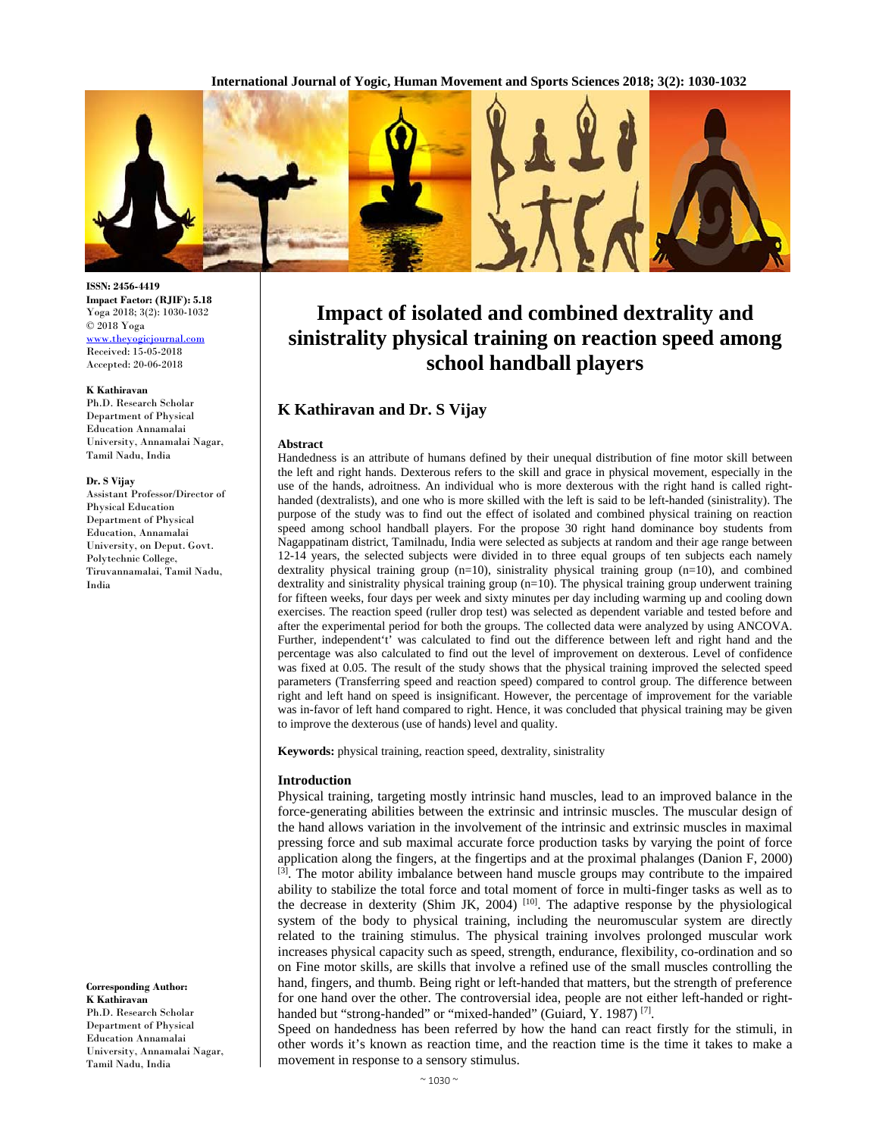**International Journal of Yogic, Human Movement and Sports Sciences 2018; 3(2): 1030-1032**



#### **ISSN: 2456-4419 Impact Factor: (RJIF): 5.18**  Yoga 2018; 3(2): 1030-1032 © 2018 Yoga www.theyogicjournal.com Received: 15-05-2018 Accepted: 20-06-2018

#### **K Kathiravan**

Ph.D. Research Scholar Department of Physical Education Annamalai University, Annamalai Nagar, Tamil Nadu, India

#### **Dr. S Vijay**

Assistant Professor/Director of Physical Education Department of Physical Education, Annamalai University, on Deput. Govt. Polytechnic College, Tiruvannamalai, Tamil Nadu, India

**Corresponding Author: K Kathiravan**  Ph.D. Research Scholar Department of Physical Education Annamalai University, Annamalai Nagar, Tamil Nadu, India

# **Impact of isolated and combined dextrality and sinistrality physical training on reaction speed among school handball players**

# **K Kathiravan and Dr. S Vijay**

### **Abstract**

Handedness is an attribute of humans defined by their unequal distribution of fine motor skill between the left and right hands. Dexterous refers to the skill and grace in physical movement, especially in the use of the hands, adroitness. An individual who is more dexterous with the right hand is called righthanded (dextralists), and one who is more skilled with the left is said to be left-handed (sinistrality). The purpose of the study was to find out the effect of isolated and combined physical training on reaction speed among school handball players. For the propose 30 right hand dominance boy students from Nagappatinam district, Tamilnadu, India were selected as subjects at random and their age range between 12-14 years, the selected subjects were divided in to three equal groups of ten subjects each namely dextrality physical training group (n=10), sinistrality physical training group (n=10), and combined dextrality and sinistrality physical training group (n=10). The physical training group underwent training for fifteen weeks, four days per week and sixty minutes per day including warming up and cooling down exercises. The reaction speed (ruller drop test) was selected as dependent variable and tested before and after the experimental period for both the groups. The collected data were analyzed by using ANCOVA. Further, independent't' was calculated to find out the difference between left and right hand and the percentage was also calculated to find out the level of improvement on dexterous. Level of confidence was fixed at 0.05. The result of the study shows that the physical training improved the selected speed parameters (Transferring speed and reaction speed) compared to control group. The difference between right and left hand on speed is insignificant. However, the percentage of improvement for the variable was in-favor of left hand compared to right. Hence, it was concluded that physical training may be given to improve the dexterous (use of hands) level and quality.

**Keywords:** physical training, reaction speed, dextrality, sinistrality

### **Introduction**

Physical training, targeting mostly intrinsic hand muscles, lead to an improved balance in the force-generating abilities between the extrinsic and intrinsic muscles. The muscular design of the hand allows variation in the involvement of the intrinsic and extrinsic muscles in maximal pressing force and sub maximal accurate force production tasks by varying the point of force application along the fingers, at the fingertips and at the proximal phalanges (Danion F, 2000) [3]. The motor ability imbalance between hand muscle groups may contribute to the impaired ability to stabilize the total force and total moment of force in multi-finger tasks as well as to the decrease in dexterity (Shim JK, 2004) [10]. The adaptive response by the physiological system of the body to physical training, including the neuromuscular system are directly related to the training stimulus. The physical training involves prolonged muscular work increases physical capacity such as speed, strength, endurance, flexibility, co-ordination and so on Fine motor skills, are skills that involve a refined use of the small muscles controlling the hand, fingers, and thumb. Being right or left-handed that matters, but the strength of preference for one hand over the other. The controversial idea, people are not either left-handed or righthanded but "strong-handed" or "mixed-handed" (Guiard, Y. 1987)<sup>[7]</sup>.

Speed on handedness has been referred by how the hand can react firstly for the stimuli, in other words it's known as reaction time, and the reaction time is the time it takes to make a movement in response to a sensory stimulus.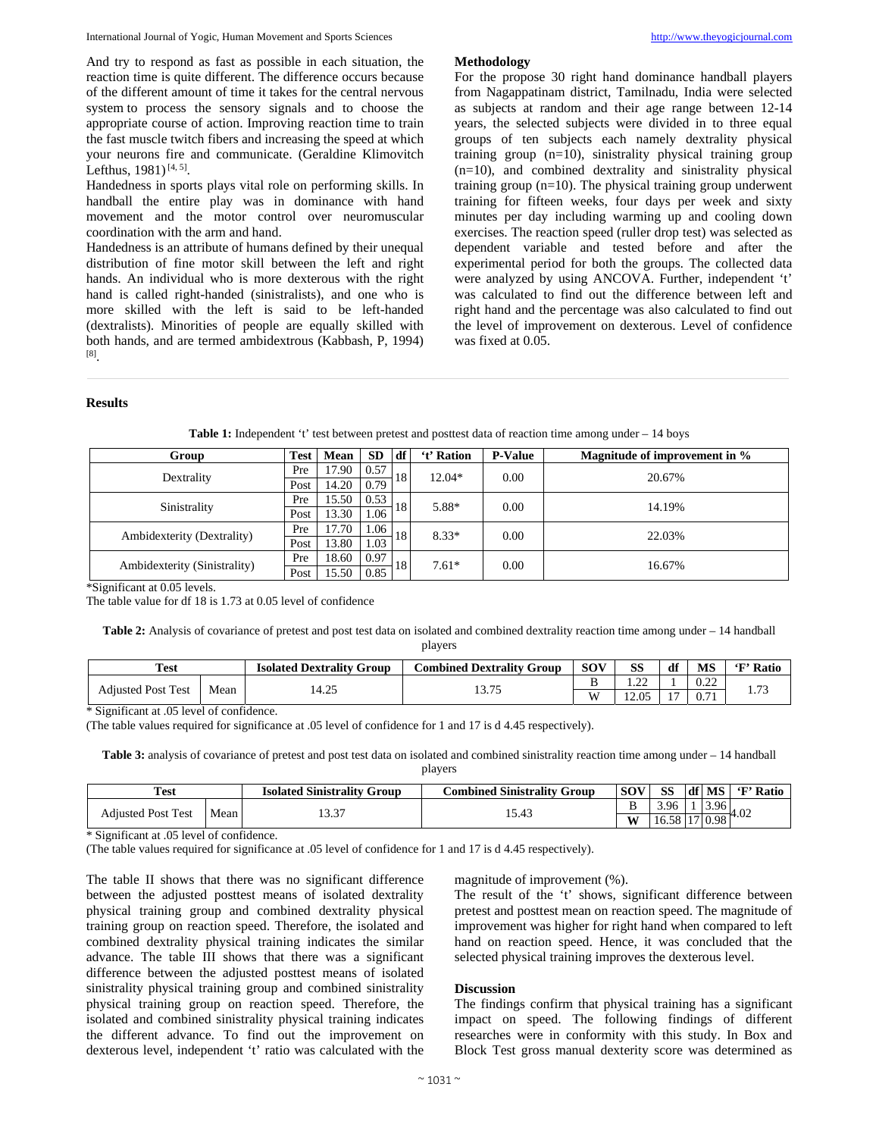And try to respond as fast as possible in each situation, the reaction time is quite different. The difference occurs because of the different amount of time it takes for the central nervous system to process the sensory signals and to choose the appropriate course of action. Improving reaction time to train the fast muscle twitch fibers and increasing the speed at which your neurons fire and communicate. (Geraldine Klimovitch Lefthus,  $1981$ )<sup>[4, 5]</sup>.

Handedness in sports plays vital role on performing skills. In handball the entire play was in dominance with hand movement and the motor control over neuromuscular coordination with the arm and hand.

Handedness is an attribute of humans defined by their unequal distribution of fine motor skill between the left and right hands. An individual who is more dexterous with the right hand is called right-handed (sinistralists), and one who is more skilled with the left is said to be left-handed (dextralists). Minorities of people are equally skilled with both hands, and are termed ambidextrous (Kabbash, P, 1994) [8].

For the propose 30 right hand dominance handball players from Nagappatinam district, Tamilnadu, India were selected as subjects at random and their age range between 12-14 years, the selected subjects were divided in to three equal groups of ten subjects each namely dextrality physical training group (n=10), sinistrality physical training group (n=10), and combined dextrality and sinistrality physical training group (n=10). The physical training group underwent training for fifteen weeks, four days per week and sixty minutes per day including warming up and cooling down exercises. The reaction speed (ruller drop test) was selected as dependent variable and tested before and after the experimental period for both the groups. The collected data were analyzed by using ANCOVA. Further, independent 't' was calculated to find out the difference between left and right hand and the percentage was also calculated to find out the level of improvement on dexterous. Level of confidence was fixed at 0.05.

# **Results**

| Group                        |      | Mean<br><b>Test</b> |      | df | 't' Ration | <b>P-Value</b> | Magnitude of improvement in % |  |  |  |  |
|------------------------------|------|---------------------|------|----|------------|----------------|-------------------------------|--|--|--|--|
| Dextrality                   | Pre  | 17.90               | 0.57 | 18 | $12.04*$   | 0.00           | 20.67%                        |  |  |  |  |
|                              | Post | 14.20               | 0.79 |    |            |                |                               |  |  |  |  |
| Sinistrality                 | Pre  | 15.50               | 0.53 | 18 | 5.88*      | 0.00           | 14.19%                        |  |  |  |  |
|                              | Post | 13.30               | 1.06 |    |            |                |                               |  |  |  |  |
| Ambidexterity (Dextrality)   | Pre  | 17.70               | 1.06 | 18 | $8.33*$    | 0.00           | 22.03%                        |  |  |  |  |
|                              | Post | 13.80               | 1.03 |    |            |                |                               |  |  |  |  |
| Ambidexterity (Sinistrality) | Pre  | 18.60               | 0.97 | 18 | $7.61*$    | 0.00           | 16.67%                        |  |  |  |  |
|                              | Post | 15.50               | 0.85 |    |            |                |                               |  |  |  |  |

Table 1: Independent 't' test between pretest and posttest data of reaction time among under – 14 boys

**Methodology** 

\*Significant at 0.05 levels.

The table value for df 18 is 1.73 at 0.05 level of confidence

**Table 2:** Analysis of covariance of pretest and post test data on isolated and combined dextrality reaction time among under – 14 handball players

| <b>Test</b>               |      | <b>Isolated Dextrality Group</b> | <b>Combined Dextrality Group</b> | <b>SOV</b> | SS             | df  | <b>MS</b>     | 'F' Ratio            |
|---------------------------|------|----------------------------------|----------------------------------|------------|----------------|-----|---------------|----------------------|
| <b>Adiusted Post Test</b> | Mean | $\gamma$<br>14.ZJ                | 2.75<br>19.IJ                    |            | $\sim$<br>     |     | 0.22<br>∪.∠∠  | $\mathbf{z}$<br>1.79 |
|                           |      |                                  |                                  | W          | 12.05<br>12.VJ | . - | 0.71<br>v. 11 |                      |

\* Significant at .05 level of confidence.

(The table values required for significance at .05 level of confidence for 1 and 17 is d 4.45 respectively).

**Table 3:** analysis of covariance of pretest and post test data on isolated and combined sinistrality reaction time among under – 14 handball players

| <b>Test</b>               |      | <b>Isolated Sinistrality Group</b> | Combined Sinistrality Group |        | SS <sup>-</sup> | df MS | 'F' Ratio |
|---------------------------|------|------------------------------------|-----------------------------|--------|-----------------|-------|-----------|
| <b>Adjusted Post Test</b> | Mean | $\sim$ $\sim$<br>.                 | 15.43                       | -<br>ၪ | 3.96            | 3.96  | 74.UZ     |
|                           |      |                                    |                             | W      | L6.58           | 0.98  |           |

\* Significant at .05 level of confidence.

(The table values required for significance at .05 level of confidence for 1 and 17 is d 4.45 respectively).

The table II shows that there was no significant difference between the adjusted posttest means of isolated dextrality physical training group and combined dextrality physical training group on reaction speed. Therefore, the isolated and combined dextrality physical training indicates the similar advance. The table III shows that there was a significant difference between the adjusted posttest means of isolated sinistrality physical training group and combined sinistrality physical training group on reaction speed. Therefore, the isolated and combined sinistrality physical training indicates the different advance. To find out the improvement on dexterous level, independent 't' ratio was calculated with the

magnitude of improvement (%).

The result of the 't' shows, significant difference between pretest and posttest mean on reaction speed. The magnitude of improvement was higher for right hand when compared to left hand on reaction speed. Hence, it was concluded that the selected physical training improves the dexterous level.

#### **Discussion**

The findings confirm that physical training has a significant impact on speed. The following findings of different researches were in conformity with this study. In Box and Block Test gross manual dexterity score was determined as